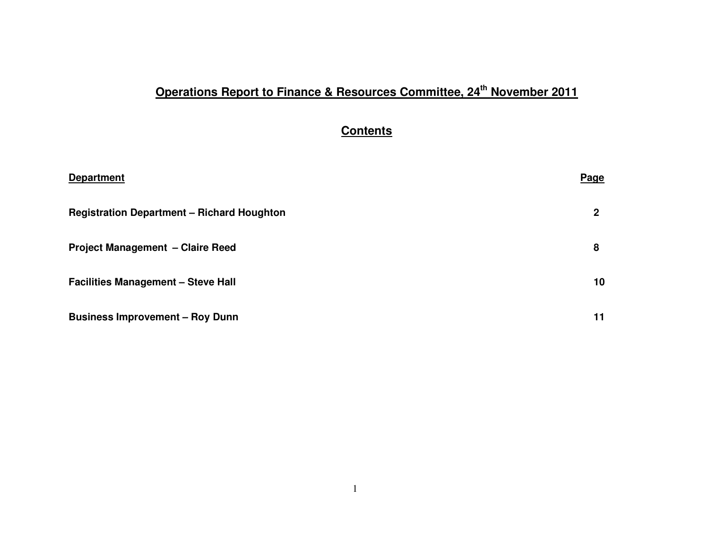## **Operations Report to Finance & Resources Committee, 24th November 2011**

## **Contents**

| <b>Department</b>                                 | <b>Page</b> |
|---------------------------------------------------|-------------|
| <b>Registration Department - Richard Houghton</b> | 2           |
| <b>Project Management - Claire Reed</b>           | 8           |
| <b>Facilities Management - Steve Hall</b>         | 10          |
| <b>Business Improvement - Roy Dunn</b>            | 11          |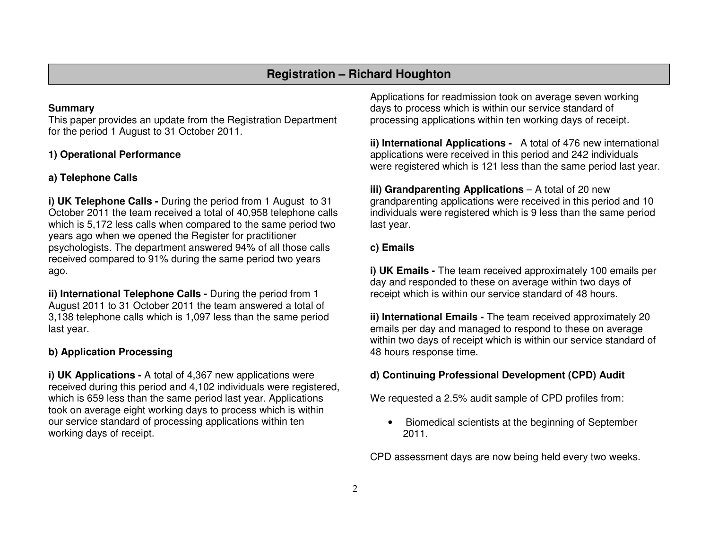## **Registration – Richard Houghton**

#### **Summary**

 This paper provides an update from the Registration Department for the period 1 August to 31 October 2011.

### **1) Operational Performance**

## **a) Telephone Calls**

**i) UK Telephone Calls -** During the period from 1 August to 31 October 2011 the team received a total of 40,958 telephone calls which is 5,172 less calls when compared to the same period two years ago when we opened the Register for practitioner psychologists. The department answered 94% of all those calls received compared to 91% during the same period two years ago.

**ii) International Telephone Calls -** During the period from 1 August 2011 to 31 October 2011 the team answered a total of 3,138 telephone calls which is 1,097 less than the same period last year.

## **b) Application Processing**

**i) UK Applications - A total of 4,367 new applications were**  received during this period and 4,102 individuals were registered, which is 659 less than the same period last year. Applications took on average eight working days to process which is within our service standard of processing applications within ten working days of receipt.

Applications for readmission took on average seven working days to process which is within our service standard of processing applications within ten working days of receipt.

**ii) International Applications -** A total of 476 new international applications were received in this period and 242 individuals were registered which is 121 less than the same period last year.

**iii) Grandparenting Applications** – A total of 20 new grandparenting applications were received in this period and 10 individuals were registered which is 9 less than the same period last year.

## **c) Emails**

**i) UK Emails -** The team received approximately 100 emails per day and responded to these on average within two days of receipt which is within our service standard of 48 hours.

**ii) International Emails -** The team received approximately 20 emails per day and managed to respond to these on average within two days of receipt which is within our service standard of 48 hours response time.

## **d) Continuing Professional Development (CPD) Audit**

We requested a 2.5% audit sample of CPD profiles from:

• Biomedical scientists at the beginning of September 2011.

CPD assessment days are now being held every two weeks.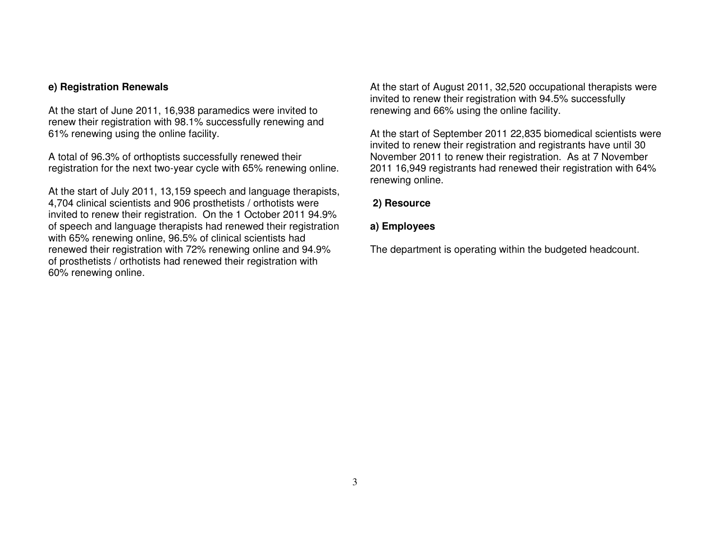#### **e) Registration Renewals**

At the start of June 2011, 16,938 paramedics were invited to renew their registration with 98.1% successfully renewing and 61% renewing using the online facility.

A total of 96.3% of orthoptists successfully renewed their registration for the next two-year cycle with 65% renewing online.

At the start of July 2011, 13,159 speech and language therapists, 4,704 clinical scientists and 906 prosthetists / orthotists were invited to renew their registration. On the 1 October 2011 94.9% of speech and language therapists had renewed their registration with 65% renewing online, 96.5% of clinical scientists had renewed their registration with 72% renewing online and 94.9% of prosthetists / orthotists had renewed their registration with 60% renewing online.

At the start of August 2011, 32,520 occupational therapists were invited to renew their registration with 94.5% successfully renewing and 66% using the online facility.

At the start of September 2011 22,835 biomedical scientists were invited to renew their registration and registrants have until 30 November 2011 to renew their registration. As at 7 November 2011 16,949 registrants had renewed their registration with 64% renewing online.

#### **2) Resource**

#### **a) Employees**

The department is operating within the budgeted headcount.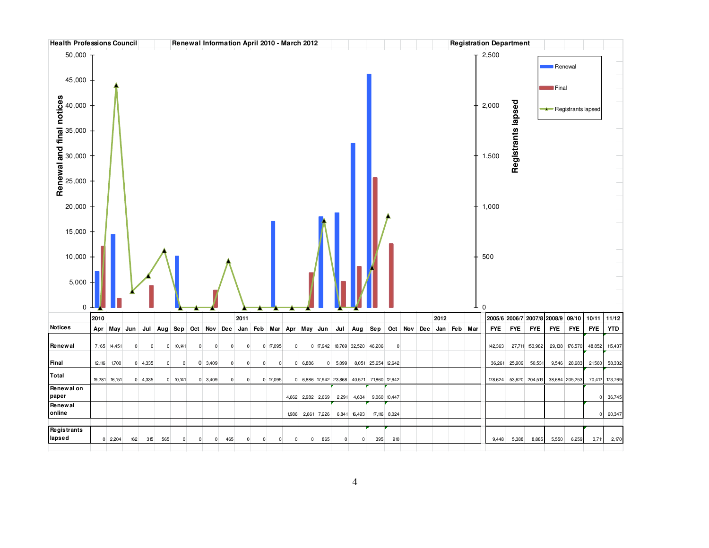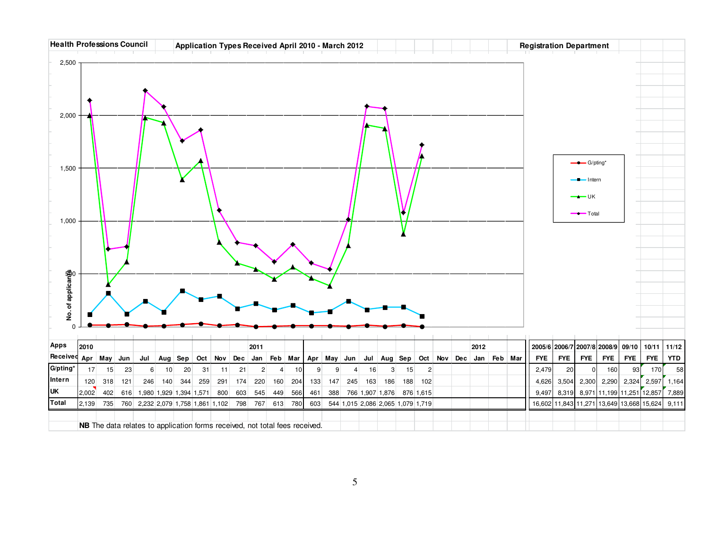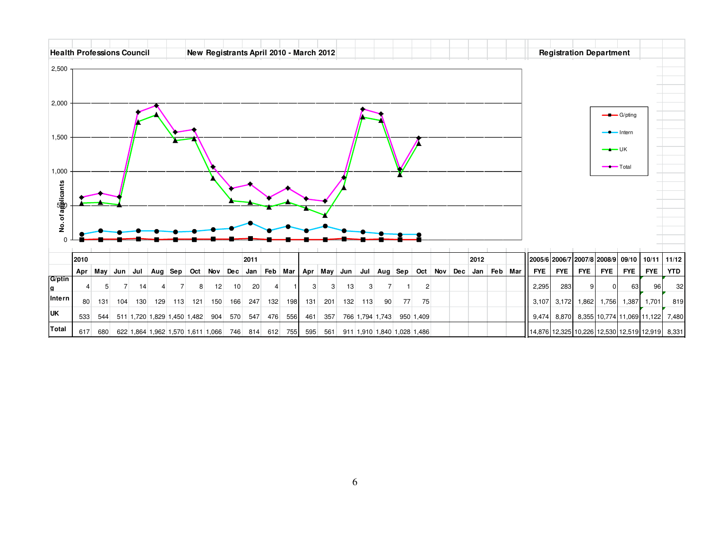| <b>Health Professions Council</b> |      |     |                |                                 |     |                            |     | New Registrants April 2010 - March 2012 |     |             |     |                          |                         |                           |     |                 |                                     |    |                |     |                 |  |  |                                   |            | <b>Registration Department</b> |              |            |                                                  |            |
|-----------------------------------|------|-----|----------------|---------------------------------|-----|----------------------------|-----|-----------------------------------------|-----|-------------|-----|--------------------------|-------------------------|---------------------------|-----|-----------------|-------------------------------------|----|----------------|-----|-----------------|--|--|-----------------------------------|------------|--------------------------------|--------------|------------|--------------------------------------------------|------------|
| 2,500                             |      |     |                |                                 |     |                            |     |                                         |     |             |     |                          |                         |                           |     |                 |                                     |    |                |     |                 |  |  |                                   |            |                                |              |            |                                                  |            |
|                                   |      |     |                |                                 |     |                            |     |                                         |     |             |     |                          |                         |                           |     |                 |                                     |    |                |     |                 |  |  |                                   |            |                                |              |            |                                                  |            |
| 2,000                             |      |     |                |                                 |     |                            |     |                                         |     |             |     |                          |                         |                           |     |                 |                                     |    |                |     |                 |  |  |                                   |            |                                |              |            |                                                  |            |
|                                   |      |     |                |                                 |     |                            |     |                                         |     |             |     |                          |                         | $\longrightarrow$ G/pting |     |                 |                                     |    |                |     |                 |  |  |                                   |            |                                |              |            |                                                  |            |
| 1,500                             |      |     |                |                                 |     |                            |     |                                         |     |             |     | - Intern<br>$  \cup$ $K$ |                         |                           |     |                 |                                     |    |                |     |                 |  |  |                                   |            |                                |              |            |                                                  |            |
|                                   |      |     |                |                                 |     |                            |     |                                         |     |             |     |                          | $\longrightarrow$ Total |                           |     |                 |                                     |    |                |     |                 |  |  |                                   |            |                                |              |            |                                                  |            |
| 1,000                             |      |     |                |                                 |     |                            |     |                                         |     |             |     |                          |                         |                           |     |                 |                                     |    |                |     |                 |  |  |                                   |            |                                |              |            |                                                  |            |
| No. of algolicants                |      |     |                |                                 |     |                            |     |                                         |     |             |     |                          |                         |                           |     |                 |                                     |    |                |     |                 |  |  |                                   |            |                                |              |            |                                                  |            |
|                                   |      |     |                |                                 |     |                            |     |                                         |     |             |     |                          |                         |                           |     |                 |                                     |    |                |     |                 |  |  |                                   |            |                                |              |            |                                                  |            |
|                                   |      |     |                |                                 |     |                            |     |                                         |     |             |     |                          |                         |                           |     |                 |                                     |    |                |     |                 |  |  |                                   |            |                                |              |            |                                                  |            |
|                                   |      |     |                |                                 |     |                            |     |                                         |     |             |     |                          |                         |                           |     |                 |                                     |    |                |     |                 |  |  |                                   |            |                                |              |            |                                                  |            |
|                                   | 2010 |     |                |                                 |     |                            |     |                                         |     | 2011        |     |                          |                         |                           |     |                 |                                     |    |                |     | 2012            |  |  | 2005/6 2006/7 2007/8 2008/9 09/10 |            |                                |              |            | 10/11                                            | 11/12      |
| G/ptin                            | Apr  | May | Jun            | Jul                             |     | Aug $\left $ Sep $\right $ |     | Oct Nov Dec                             |     | Jan         |     |                          | Feb Mar   Apr May       |                           | Jun |                 | Jul $\vert$ Aug $\vert$ Sep $\vert$ |    | Oct Nov        | Dec | Jan   Feb   Mar |  |  | <b>FYE</b>                        | <b>FYE</b> | <b>FYE</b>                     | <b>FYE</b>   | <b>FYE</b> | <b>FYE</b>                                       | <b>YTD</b> |
| g                                 |      | 5   | $\overline{7}$ | 14                              |     |                            | 8   | 12                                      | 10  | 20          |     |                          | 3                       | 3                         | 13  | 3               |                                     |    | $\overline{2}$ |     |                 |  |  | 2,295                             | 283        | 9                              | <sup>0</sup> | 63         | 96                                               | 32         |
| Intern                            | 80   | 131 | 104            | 130                             | 129 | 113                        | 121 | 150                                     | 166 | 247         | 132 | 198                      | 131                     | 201                       | 132 | 113             | 90                                  | 77 | 75             |     |                 |  |  | 3,107                             | 3,172      | 1,862                          | 1,756        | 1,387      | 1,701                                            | 819        |
| <b>UK</b>                         | 533  |     |                | 544 511 1,720 1,829 1,450 1,482 |     |                            |     | 904                                     | 570 | 547         | 476 | 556                      | 461                     | 357                       |     | 766 1,794 1,743 |                                     |    | 950 1,409      |     |                 |  |  | 9,474                             |            |                                |              |            | 8,870 8,355 10,774 11,069 11,122                 | 7,480      |
| Total                             | 617  | 680 |                |                                 |     |                            |     | 622 1,864 1,962 1,570 1,611 1,066       |     | 746 814 612 |     | 755                      | 595                     | 561                       |     |                 | 911 1,910 1,840 1,028 1,486         |    |                |     |                 |  |  |                                   |            |                                |              |            | 14,876 12,325 10,226 12,530 12,519 12,919  8,331 |            |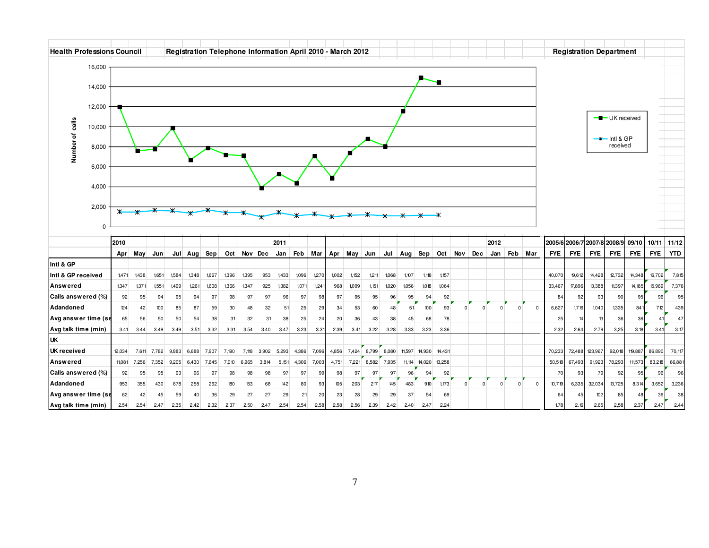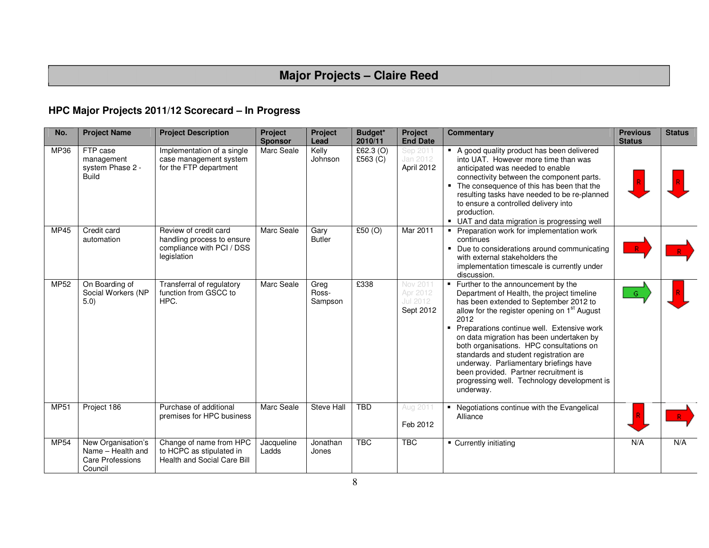# **Major Projects – Claire Reed**

## **HPC Major Projects 2011/12 Scorecard – In Progress**

| No.         | <b>Project Name</b>                                                    | <b>Project Description</b>                                                                      | <b>Project</b><br><b>Sponsor</b> | Project<br>Lead          | Budget*<br>2010/11      | Project<br><b>End Date</b>                    | <b>Commentary</b>                                                                                                                                                                                                                                                                                                                                                                                                                                                                                                               | <b>Previous</b><br><b>Status</b> | <b>Status</b> |
|-------------|------------------------------------------------------------------------|-------------------------------------------------------------------------------------------------|----------------------------------|--------------------------|-------------------------|-----------------------------------------------|---------------------------------------------------------------------------------------------------------------------------------------------------------------------------------------------------------------------------------------------------------------------------------------------------------------------------------------------------------------------------------------------------------------------------------------------------------------------------------------------------------------------------------|----------------------------------|---------------|
| MP36        | FTP case<br>management<br>system Phase 2 -<br><b>Build</b>             | Implementation of a single<br>case management system<br>for the FTP department                  | Marc Seale                       | Kelly<br>Johnson         | £62.3 $(O)$<br>£563 (C) | Sep 2011<br>Jan 2012<br>April 2012            | • A good quality product has been delivered<br>into UAT. However more time than was<br>anticipated was needed to enable<br>connectivity between the component parts.<br>• The consequence of this has been that the<br>resulting tasks have needed to be re-planned<br>to ensure a controlled delivery into<br>production.<br>• UAT and data migration is progressing well                                                                                                                                                      |                                  |               |
| <b>MP45</b> | Credit card<br>automation                                              | Review of credit card<br>handling process to ensure<br>compliance with PCI / DSS<br>legislation | Marc Seale                       | Gary<br><b>Butler</b>    | £50(0)                  | Mar 2011                                      | Preparation work for implementation work<br>continues<br>• Due to considerations around communicating<br>with external stakeholders the<br>implementation timescale is currently under<br>discussion.                                                                                                                                                                                                                                                                                                                           |                                  |               |
| MP52        | On Boarding of<br>Social Workers (NP<br>5.0)                           | Transferral of regulatory<br>function from GSCC to<br>HPC.                                      | Marc Seale                       | Greg<br>Ross-<br>Sampson | £338                    | Nov 2011<br>Apr 2012<br>Jul 2012<br>Sept 2012 | ■ Further to the announcement by the<br>Department of Health, the project timeline<br>has been extended to September 2012 to<br>allow for the register opening on 1 <sup>st</sup> August<br>2012<br>Preparations continue well. Extensive work<br>on data migration has been undertaken by<br>both organisations. HPC consultations on<br>standards and student registration are<br>underway. Parliamentary briefings have<br>been provided. Partner recruitment is<br>progressing well. Technology development is<br>underway. | G                                |               |
| <b>MP51</b> | Project 186                                                            | Purchase of additional<br>premises for HPC business                                             | Marc Seale                       | Steve Hall               | <b>TBD</b>              | Aug 2011<br>Feb 2012                          | Negotiations continue with the Evangelical<br>Alliance                                                                                                                                                                                                                                                                                                                                                                                                                                                                          |                                  |               |
| <b>MP54</b> | New Organisation's<br>Name - Health and<br>Care Professions<br>Council | Change of name from HPC<br>to HCPC as stipulated in<br><b>Health and Social Care Bill</b>       | Jacqueline<br>Ladds              | Jonathan<br>Jones        | <b>TBC</b>              | <b>TBC</b>                                    | • Currently initiating                                                                                                                                                                                                                                                                                                                                                                                                                                                                                                          | N/A                              | N/A           |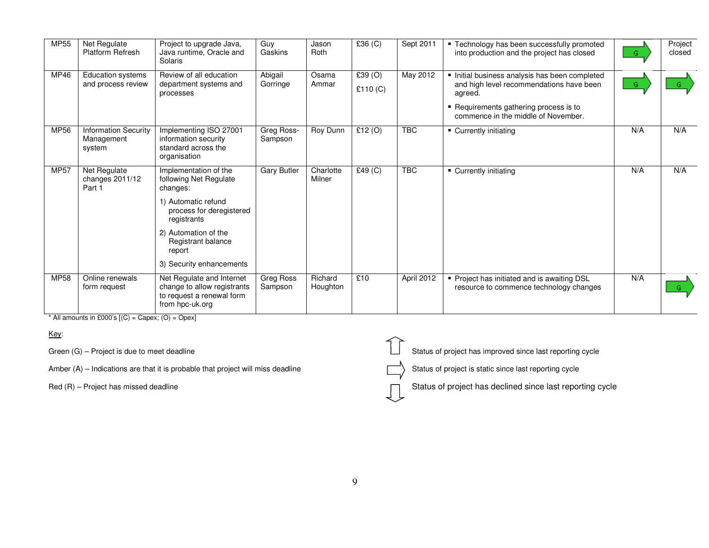| MP55        | Net Regulate<br><b>Platform Refresh</b>             | Project to upgrade Java,<br>Java runtime, Oracle and<br>Solaris                                          | Guy<br>Gaskins        | Jason<br>Roth       | £36 $(C)$            | Sept 2011  | " Technology has been successfully promoted<br>into production and the project has closed                                                                                            | G.  | Project<br>closed |
|-------------|-----------------------------------------------------|----------------------------------------------------------------------------------------------------------|-----------------------|---------------------|----------------------|------------|--------------------------------------------------------------------------------------------------------------------------------------------------------------------------------------|-----|-------------------|
| MP46        | <b>Education systems</b><br>and process review      | Review of all education<br>department systems and<br>processes                                           | Abigail<br>Gorringe   | Osama<br>Ammar      | £39(0)<br>£110 $(C)$ | May 2012   | Initial business analysis has been completed<br>and high level recommendations have been<br>agreed.<br>• Requirements gathering process is to<br>commence in the middle of November. | G   | $-$ G $-$         |
| MP56        | <b>Information Security</b><br>Management<br>system | Implementing ISO 27001<br>information security<br>standard across the<br>organisation                    | Greg Ross-<br>Sampson | <b>Roy Dunn</b>     | £12(0)               | <b>TBC</b> | • Currently initiating                                                                                                                                                               | N/A | N/A               |
| <b>MP57</b> | Net Regulate<br>changes 2011/12<br>Part 1           | Implementation of the<br>following Net Regulate<br>changes:                                              | <b>Gary Butler</b>    | Charlotte<br>Milner | £49(C)               | <b>TBC</b> | • Currently initiating                                                                                                                                                               | N/A | N/A               |
|             |                                                     | 1) Automatic refund<br>process for deregistered<br>registrants                                           |                       |                     |                      |            |                                                                                                                                                                                      |     |                   |
|             |                                                     | 2) Automation of the<br>Registrant balance<br>report                                                     |                       |                     |                      |            |                                                                                                                                                                                      |     |                   |
|             |                                                     | 3) Security enhancements                                                                                 |                       |                     |                      |            |                                                                                                                                                                                      |     |                   |
| MP58        | Online renewals<br>form request                     | Net Regulate and Internet<br>change to allow registrants<br>to request a renewal form<br>from hpc-uk.org | Greg Ross<br>Sampson  | Richard<br>Houghton | £10                  | April 2012 | • Project has initiated and is awaiting DSL<br>resource to commence technology changes                                                                                               | N/A | G                 |

\* All amounts in £000's  $[(C) = \text{Capex}; (O) = \text{Opex}]$ 

#### Key:

Amber  $(A)$  – Indications are that it is probable that project will miss deadline

Green (G) – Project is due to meet deadline Status of project has improved since last reporting cycle

Status of project is static since last reporting cycle

 $Red(R)$  – Project has missed deadline  $\Box$  Status of project has declined since last reporting cycle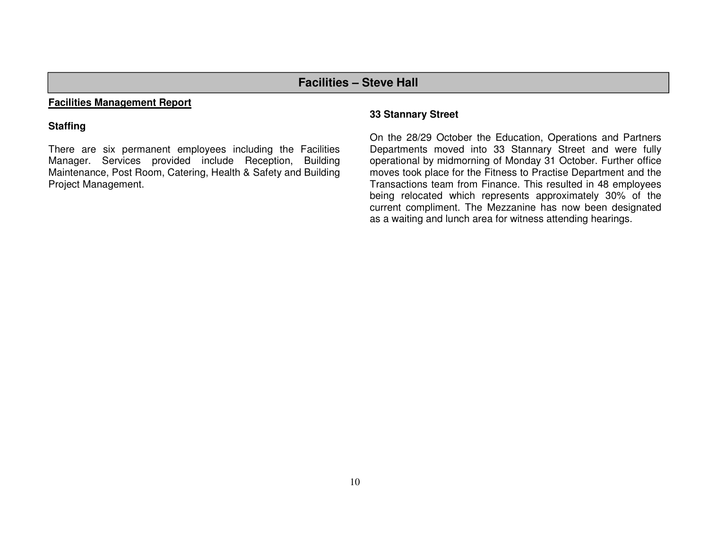## **Facilities – Steve Hall**

#### **Facilities Management Report**

#### **Staffing**

There are six permanent employees including the Facilities Manager. Services provided include Reception, Building Maintenance, Post Room, Catering, Health & Safety and Building Project Management.

#### **33 Stannary Street**

On the 28/29 October the Education, Operations and Partners Departments moved into 33 Stannary Street and were fully operational by midmorning of Monday 31 October. Further office moves took place for the Fitness to Practise Department and the Transactions team from Finance. This resulted in 48 employees being relocated which represents approximately 30% of the current compliment. The Mezzanine has now been designated as a waiting and lunch area for witness attending hearings.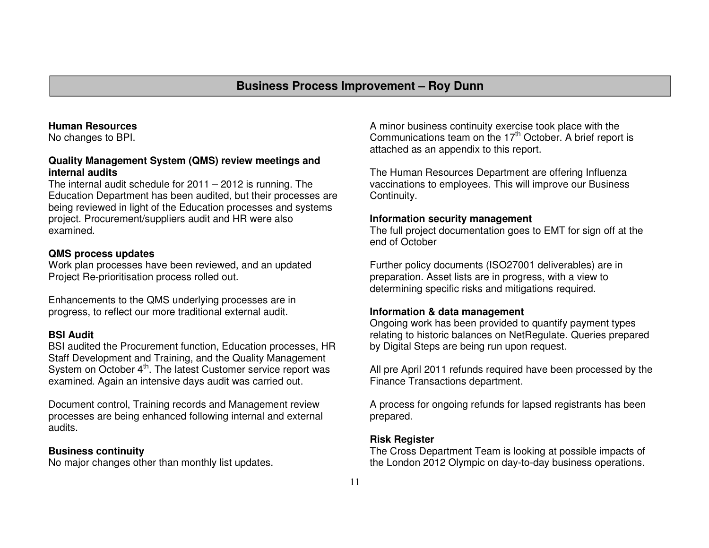#### **Human Resources**

No changes to BPI.

#### **Quality Management System (QMS) review meetings andinternal audits**

 The internal audit schedule for 2011 – 2012 is running. The Education Department has been audited, but their processes are being reviewed in light of the Education processes and systems project. Procurement/suppliers audit and HR were also examined.

#### **QMS process updates**

 Work plan processes have been reviewed, and an updated Project Re-prioritisation process rolled out.

Enhancements to the QMS underlying processes are inprogress, to reflect our more traditional external audit.

#### **BSI Audit**

 BSI audited the Procurement function, Education processes, HR Staff Development and Training, and the Quality Management System on October 4<sup>th</sup>. The latest Customer service report was examined. Again an intensive days audit was carried out.

Document control, Training records and Management review processes are being enhanced following internal and external audits.

#### **Business continuity**

No major changes other than monthly list updates.

A minor business continuity exercise took place with the Communications team on the  $17<sup>th</sup>$  October. A brief report is attached as an appendix to this report.

The Human Resources Department are offering Influenza vaccinations to employees. This will improve our Business Continuity.

#### **Information security management**

 The full project documentation goes to EMT for sign off at the end of October

Further policy documents (ISO27001 deliverables) are in preparation. Asset lists are in progress, with a view to determining specific risks and mitigations required.

#### **Information & data management**

 Ongoing work has been provided to quantify payment types relating to historic balances on NetRegulate. Queries prepared by Digital Steps are being run upon request.

All pre April 2011 refunds required have been processed by the Finance Transactions department.

A process for ongoing refunds for lapsed registrants has been prepared.

#### **Risk Register**

 The Cross Department Team is looking at possible impacts of the London 2012 Olympic on day-to-day business operations.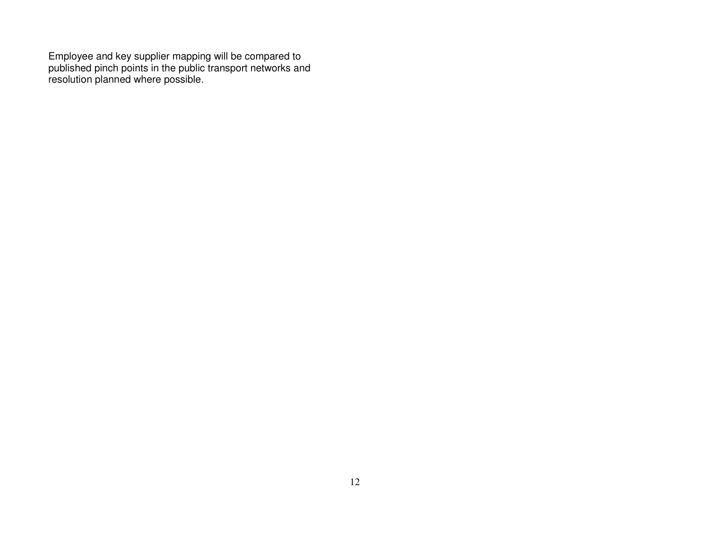Employee and key supplier mapping will be compared to published pinch points in the public transport networks and resolution planned where possible.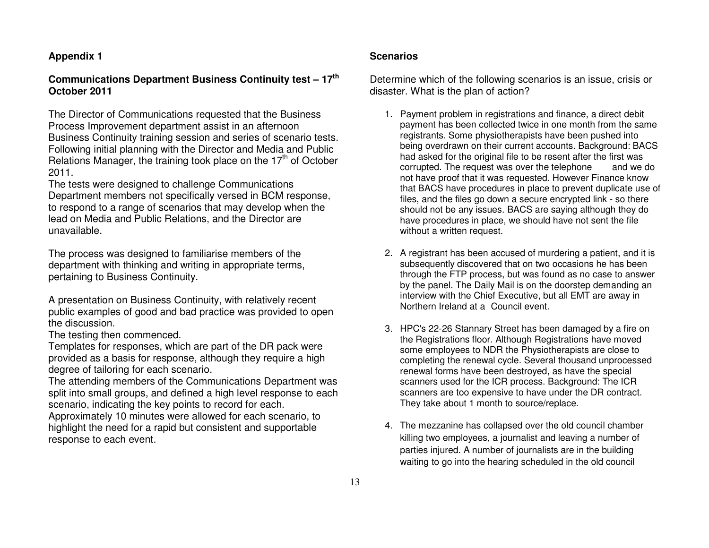#### **Appendix 1**

#### **Communications Department Business Continuity test – 17th October 2011**

The Director of Communications requested that the Business Process Improvement department assist in an afternoon Business Continuity training session and series of scenario tests. Following initial planning with the Director and Media and Public Relations Manager, the training took place on the 17<sup>th</sup> of October 2011.

 The tests were designed to challenge Communications Department members not specifically versed in BCM response, to respond to a range of scenarios that may develop when the lead on Media and Public Relations, and the Director are unavailable.

The process was designed to familiarise members of the department with thinking and writing in appropriate terms, pertaining to Business Continuity.

A presentation on Business Continuity, with relatively recent public examples of good and bad practice was provided to open the discussion.

The testing then commenced.

 Templates for responses, which are part of the DR pack were provided as a basis for response, although they require a high degree of tailoring for each scenario.

 The attending members of the Communications Department was split into small groups, and defined a high level response to each scenario, indicating the key points to record for each.

 Approximately 10 minutes were allowed for each scenario, to highlight the need for a rapid but consistent and supportable response to each event.

#### **Scenarios**

Determine which of the following scenarios is an issue, crisis or disaster. What is the plan of action?

- 1. Payment problem in registrations and finance, a direct debit payment has been collected twice in one month from the same registrants. Some physiotherapists have been pushed into being overdrawn on their current accounts. Background: BACS had asked for the original file to be resent after the first was and we do corrupted. The request was over the telephone not have proof that it was requested. However Finance know that BACS have procedures in place to prevent duplicate use of files, and the files go down a secure encrypted link - so there should not be any issues. BACS are saying although they do have procedures in place, we should have not sent the file without a written request.
- 2. A registrant has been accused of murdering a patient, and it is subsequently discovered that on two occasions he has been through the FTP process, but was found as no case to answer by the panel. The Daily Mail is on the doorstep demanding an interview with the Chief Executive, but all EMT are away in Northern Ireland at a Council event.
- 3. HPC's 22-26 Stannary Street has been damaged by a fire on the Registrations floor. Although Registrations have moved some employees to NDR the Physiotherapists are close to completing the renewal cycle. Several thousand unprocessed renewal forms have been destroyed, as have the special scanners used for the ICR process. Background: The ICR scanners are too expensive to have under the DR contract. They take about 1 month to source/replace.
- 4. The mezzanine has collapsed over the old council chamber killing two employees, a journalist and leaving a number of parties injured. A number of journalists are in the building waiting to go into the hearing scheduled in the old council